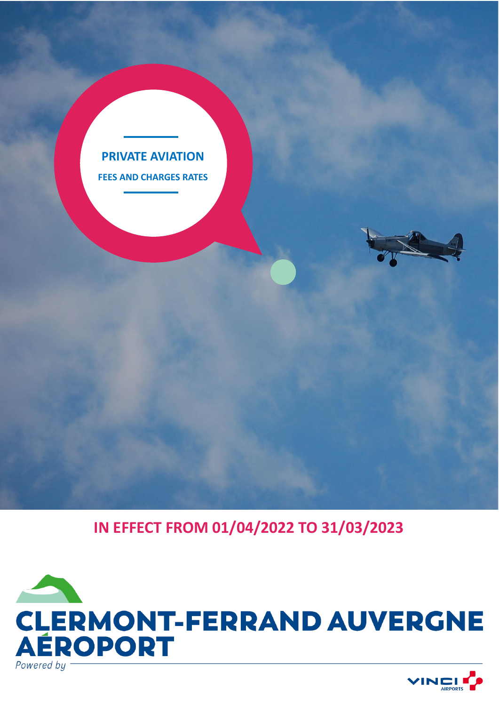



**IN EFFECT FROM 01/04/2022 TO 31/03/2023**



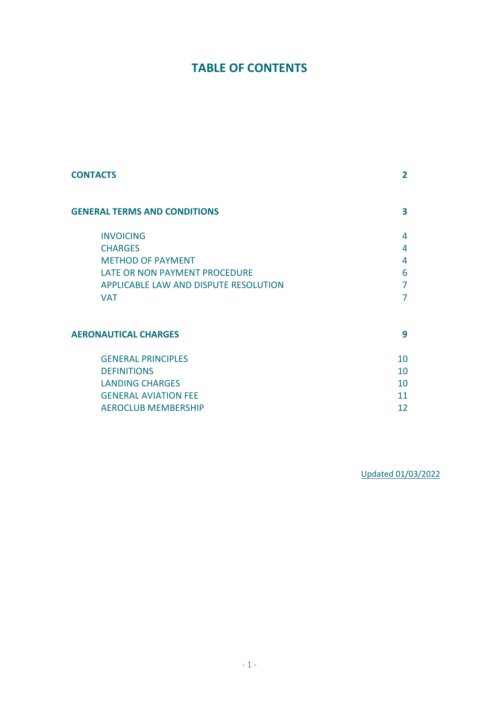# **TABLE OF CONTENTS**

| <b>CONTACTS</b>                       | $\overline{2}$ |
|---------------------------------------|----------------|
| <b>GENERAL TERMS AND CONDITIONS</b>   | 3              |
| <b>INVOICING</b>                      | 4              |
| <b>CHARGES</b>                        | 4              |
| <b>METHOD OF PAYMENT</b>              | 4              |
| LATE OR NON PAYMENT PROCEDURE         | 6              |
| APPLICABLE LAW AND DISPUTE RESOLUTION | 7              |
| <b>VAT</b>                            | 7              |
| <b>AERONAUTICAL CHARGES</b>           | 9              |
| <b>GENERAL PRINCIPLES</b>             | 10             |
| <b>DEFINITIONS</b>                    | 10             |
| <b>LANDING CHARGES</b>                | 10             |
| <b>GENERAL AVIATION FEE</b>           | 11             |
| <b>AEROCLUB MEMBERSHIP</b>            | 12             |

Updated 01/03/2022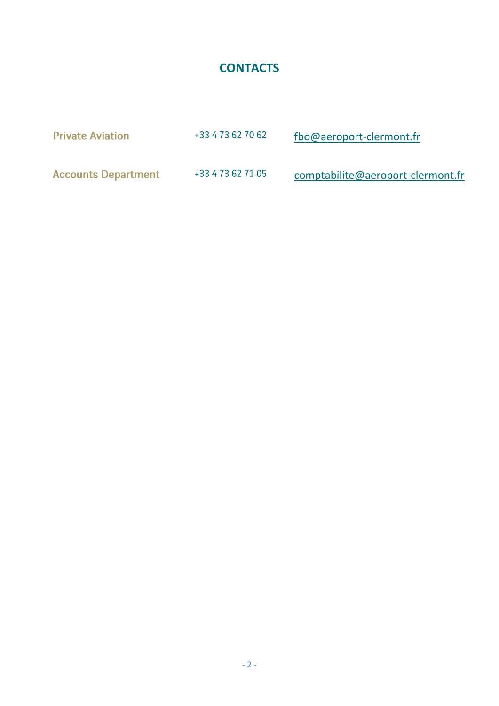# **CONTACTS**

| <b>Private Aviation</b>    | +33 4 73 62 70 62 | fbo@aeroport-clermont.fr          |
|----------------------------|-------------------|-----------------------------------|
| <b>Accounts Department</b> | +33 4 73 62 71 05 | comptabilite@aeroport-clermont.fr |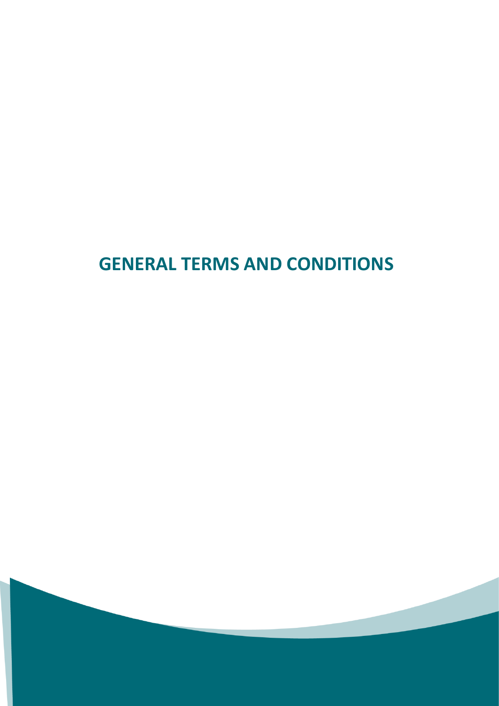# **GENERAL TERMS AND CONDITIONS**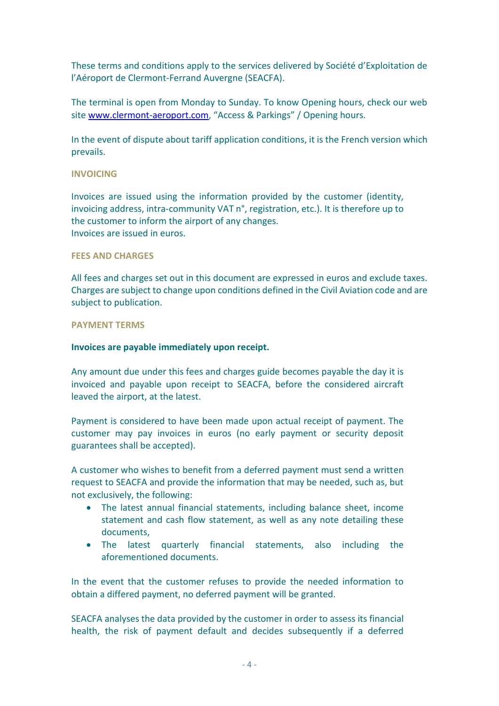These terms and conditions apply to the services delivered by Société d'Exploitation de l'Aéroport de Clermont-Ferrand Auvergne (SEACFA).

The terminal is open from Monday to Sunday. To know Opening hours, check our web site [www.clermont-aeroport.com](http://www.clermont-aeroport.com/), "Access & Parkings" / Opening hours.

In the event of dispute about tariff application conditions, it is the French version which prevails.

#### **INVOICING**

Invoices are issued using the information provided by the customer (identity, invoicing address, intra-community VAT n°, registration, etc.). It is therefore up to the customer to inform the airport of any changes. Invoices are issued in euros.

#### **FEES AND CHARGES**

All fees and charges set out in this document are expressed in euros and exclude taxes. Charges are subject to change upon conditions defined in the Civil Aviation code and are subject to publication.

#### **PAYMENT TERMS**

#### **Invoices are payable immediately upon receipt.**

Any amount due under this fees and charges guide becomes payable the day it is invoiced and payable upon receipt to SEACFA, before the considered aircraft leaved the airport, at the latest.

Payment is considered to have been made upon actual receipt of payment. The customer may pay invoices in euros (no early payment or security deposit guarantees shall be accepted).

A customer who wishes to benefit from a deferred payment must send a written request to SEACFA and provide the information that may be needed, such as, but not exclusively, the following:

- The latest annual financial statements, including balance sheet, income statement and cash flow statement, as well as any note detailing these documents,
- The latest quarterly financial statements, also including the aforementioned documents.

In the event that the customer refuses to provide the needed information to obtain a differed payment, no deferred payment will be granted.

SEACFA analyses the data provided by the customer in order to assess its financial health, the risk of payment default and decides subsequently if a deferred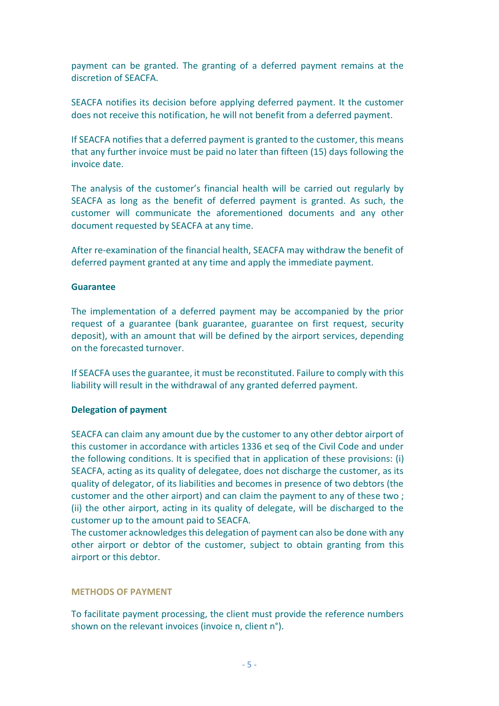payment can be granted. The granting of a deferred payment remains at the discretion of SEACFA.

SEACFA notifies its decision before applying deferred payment. It the customer does not receive this notification, he will not benefit from a deferred payment.

If SEACFA notifies that a deferred payment is granted to the customer, this means that any further invoice must be paid no later than fifteen (15) days following the invoice date.

The analysis of the customer's financial health will be carried out regularly by SEACFA as long as the benefit of deferred payment is granted. As such, the customer will communicate the aforementioned documents and any other document requested by SEACFA at any time.

After re-examination of the financial health, SEACFA may withdraw the benefit of deferred payment granted at any time and apply the immediate payment.

#### **Guarantee**

The implementation of a deferred payment may be accompanied by the prior request of a guarantee (bank guarantee, guarantee on first request, security deposit), with an amount that will be defined by the airport services, depending on the forecasted turnover.

If SEACFA uses the guarantee, it must be reconstituted. Failure to comply with this liability will result in the withdrawal of any granted deferred payment.

# **Delegation of payment**

SEACFA can claim any amount due by the customer to any other debtor airport of this customer in accordance with articles 1336 et seq of the Civil Code and under the following conditions. It is specified that in application of these provisions: (i) SEACFA, acting as its quality of delegatee, does not discharge the customer, as its quality of delegator, of its liabilities and becomes in presence of two debtors (the customer and the other airport) and can claim the payment to any of these two ; (ii) the other airport, acting in its quality of delegate, will be discharged to the customer up to the amount paid to SEACFA.

The customer acknowledges this delegation of payment can also be done with any other airport or debtor of the customer, subject to obtain granting from this airport or this debtor.

### **METHODS OF PAYMENT**

To facilitate payment processing, the client must provide the reference numbers shown on the relevant invoices (invoice n, client n°).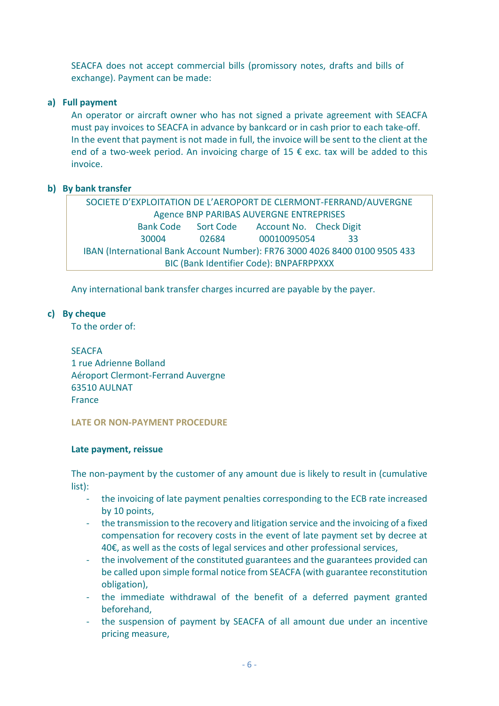SEACFA does not accept commercial bills (promissory notes, drafts and bills of exchange). Payment can be made:

# **a) Full payment**

An operator or aircraft owner who has not signed a private agreement with SEACFA must pay invoices to SEACFA in advance by bankcard or in cash prior to each take-off. In the event that payment is not made in full, the invoice will be sent to the client at the end of a two-week period. An invoicing charge of 15  $\epsilon$  exc. tax will be added to this invoice.

# **b) By bank transfer**

| SOCIETE D'EXPLOITATION DE L'AEROPORT DE CLERMONT-FERRAND/AUVERGNE           |       |                                             |    |
|-----------------------------------------------------------------------------|-------|---------------------------------------------|----|
| Agence BNP PARIBAS AUVERGNE ENTREPRISES                                     |       |                                             |    |
|                                                                             |       | Bank Code Sort Code Account No. Check Digit |    |
| 30004                                                                       | 02684 | 00010095054                                 | 33 |
| IBAN (International Bank Account Number): FR76 3000 4026 8400 0100 9505 433 |       |                                             |    |
| BIC (Bank Identifier Code): BNPAFRPPXXX                                     |       |                                             |    |

Any international bank transfer charges incurred are payable by the payer.

# **c) By cheque**

To the order of:

**SEACFA** 1 rue Adrienne Bolland Aéroport Clermont-Ferrand Auvergne 63510 AULNAT France

# **LATE OR NON-PAYMENT PROCEDURE**

# **Late payment, reissue**

The non-payment by the customer of any amount due is likely to result in (cumulative list):

- the invoicing of late payment penalties corresponding to the ECB rate increased by 10 points,
- the transmission to the recovery and litigation service and the invoicing of a fixed compensation for recovery costs in the event of late payment set by decree at 40€, as well as the costs of legal services and other professional services,
- the involvement of the constituted guarantees and the guarantees provided can be called upon simple formal notice from SEACFA (with guarantee reconstitution obligation),
- the immediate withdrawal of the benefit of a deferred payment granted beforehand,
- the suspension of payment by SEACFA of all amount due under an incentive pricing measure,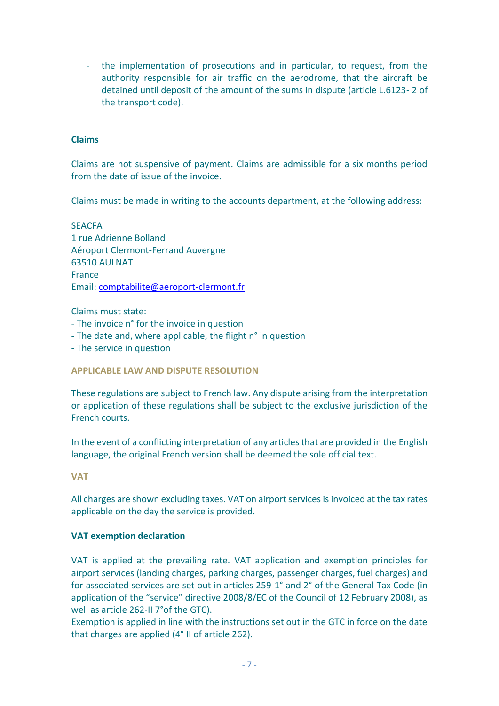the implementation of prosecutions and in particular, to request, from the authority responsible for air traffic on the aerodrome, that the aircraft be detained until deposit of the amount of the sums in dispute (article L.6123- 2 of the transport code).

#### **Claims**

Claims are not suspensive of payment. Claims are admissible for a six months period from the date of issue of the invoice.

Claims must be made in writing to the accounts department, at the following address:

**SEACFA** 1 rue Adrienne Bolland Aéroport Clermont-Ferrand Auvergne 63510 AULNAT France Email[: comptabilite@aeroport-clermont.fr](mailto:comptabilite@aeroport-clermont.fr)

Claims must state:

- The invoice n° for the invoice in question
- The date and, where applicable, the flight n° in question
- The service in question

#### **APPLICABLE LAW AND DISPUTE RESOLUTION**

These regulations are subject to French law. Any dispute arising from the interpretation or application of these regulations shall be subject to the exclusive jurisdiction of the French courts.

In the event of a conflicting interpretation of any articles that are provided in the English language, the original French version shall be deemed the sole official text.

**VAT** 

All charges are shown excluding taxes. VAT on airport services is invoiced at the tax rates applicable on the day the service is provided.

#### **VAT exemption declaration**

VAT is applied at the prevailing rate. VAT application and exemption principles for airport services (landing charges, parking charges, passenger charges, fuel charges) and for associated services are set out in articles 259-1° and 2° of the General Tax Code (in application of the "service" directive 2008/8/EC of the Council of 12 February 2008), as well as article 262-II 7°of the GTC).

Exemption is applied in line with the instructions set out in the GTC in force on the date that charges are applied (4° II of article 262).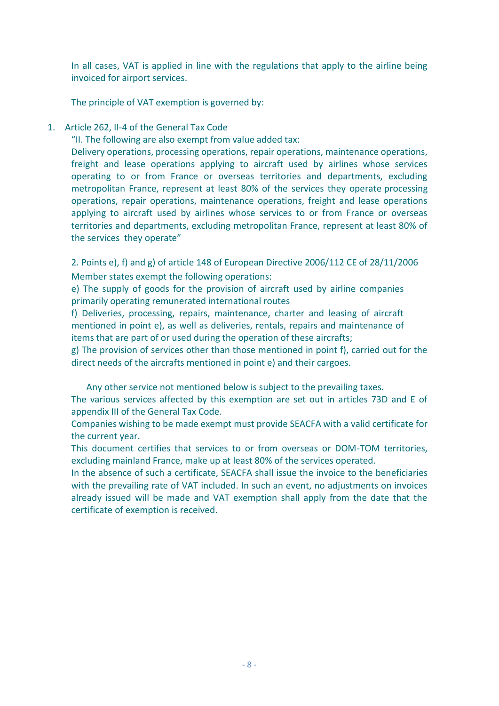In all cases, VAT is applied in line with the regulations that apply to the airline being invoiced for airport services.

The principle of VAT exemption is governed by:

1. Article 262, II-4 of the General Tax Code

"II. The following are also exempt from value added tax:

Delivery operations, processing operations, repair operations, maintenance operations, freight and lease operations applying to aircraft used by airlines whose services operating to or from France or overseas territories and departments, excluding metropolitan France, represent at least 80% of the services they operate processing operations, repair operations, maintenance operations, freight and lease operations applying to aircraft used by airlines whose services to or from France or overseas territories and departments, excluding metropolitan France, represent at least 80% of the services they operate"

2. Points e), f) and g) of article 148 of European Directive 2006/112 CE of 28/11/2006 Member states exempt the following operations:

e) The supply of goods for the provision of aircraft used by airline companies primarily operating remunerated international routes

f) Deliveries, processing, repairs, maintenance, charter and leasing of aircraft mentioned in point e), as well as deliveries, rentals, repairs and maintenance of items that are part of or used during the operation of these aircrafts;

g) The provision of services other than those mentioned in point f), carried out for the direct needs of the aircrafts mentioned in point e) and their cargoes.

Any other service not mentioned below is subject to the prevailing taxes.

The various services affected by this exemption are set out in articles 73D and E of appendix III of the General Tax Code.

Companies wishing to be made exempt must provide SEACFA with a valid certificate for the current year.

This document certifies that services to or from overseas or DOM-TOM territories, excluding mainland France, make up at least 80% of the services operated.

In the absence of such a certificate, SEACFA shall issue the invoice to the beneficiaries with the prevailing rate of VAT included. In such an event, no adjustments on invoices already issued will be made and VAT exemption shall apply from the date that the certificate of exemption is received.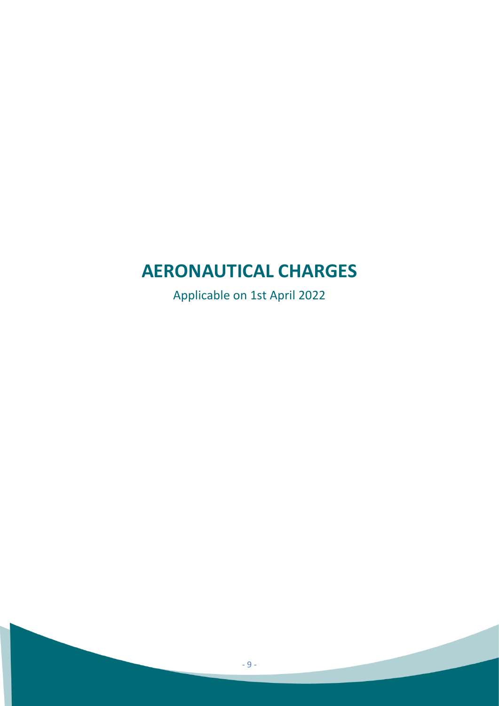# **AERONAUTICAL CHARGES**

Applicable on 1st April 2022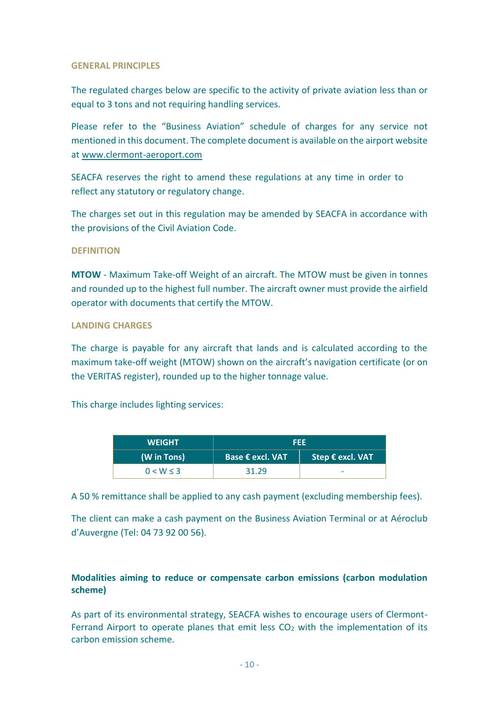#### **GENERAL PRINCIPLES**

The regulated charges below are specific to the activity of private aviation less than or equal to 3 tons and not requiring handling services.

Please refer to the "Business Aviation" schedule of charges for any service not mentioned in this document. The complete document is available on the airport website at [www.clermont-aeroport.com](http://www.clermont-aeroport.com/)

SEACFA reserves the right to amend these regulations at any time in order to reflect any statutory or regulatory change.

The charges set out in this regulation may be amended by SEACFA in accordance with the provisions of the Civil Aviation Code.

#### **DEFINITION**

**MTOW** - Maximum Take-off Weight of an aircraft. The MTOW must be given in tonnes and rounded up to the highest full number. The aircraft owner must provide the airfield operator with documents that certify the MTOW.

#### **LANDING CHARGES**

The charge is payable for any aircraft that lands and is calculated according to the maximum take-off weight (MTOW) shown on the aircraft's navigation certificate (or on the VERITAS register), rounded up to the higher tonnage value.

This charge includes lighting services:

| <b>WEIGHT</b>  | FEE.             |                           |
|----------------|------------------|---------------------------|
| (W in Tons)    | Base € excl. VAT | Step $\epsilon$ excl. VAT |
| $0 < W \leq 3$ | 31.29            | ۰                         |

A 50 % remittance shall be applied to any cash payment (excluding membership fees).

The client can make a cash payment on the Business Aviation Terminal or at Aéroclub d'Auvergne (Tel: 04 73 92 00 56).

# **Modalities aiming to reduce or compensate carbon emissions (carbon modulation scheme)**

As part of its environmental strategy, SEACFA wishes to encourage users of Clermont-Ferrand Airport to operate planes that emit less  $CO<sub>2</sub>$  with the implementation of its carbon emission scheme.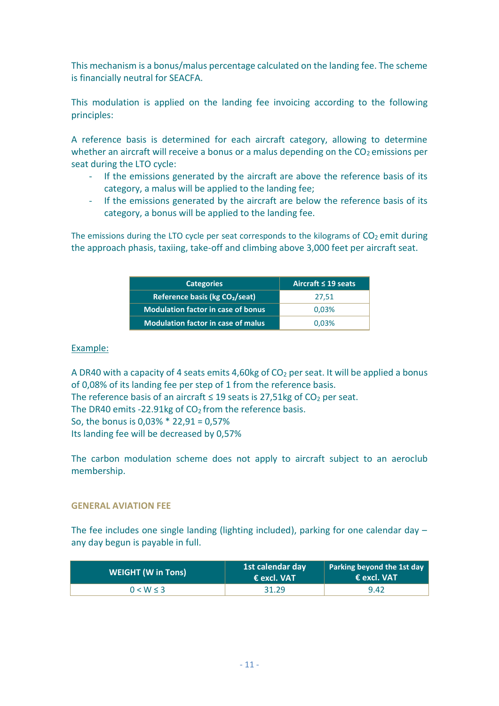This mechanism is a bonus/malus percentage calculated on the landing fee. The scheme is financially neutral for SEACFA.

This modulation is applied on the landing fee invoicing according to the following principles:

A reference basis is determined for each aircraft category, allowing to determine whether an aircraft will receive a bonus or a malus depending on the  $CO<sub>2</sub>$  emissions per seat during the LTO cycle:

- If the emissions generated by the aircraft are above the reference basis of its category, a malus will be applied to the landing fee;
- If the emissions generated by the aircraft are below the reference basis of its category, a bonus will be applied to the landing fee.

The emissions during the LTO cycle per seat corresponds to the kilograms of  $CO<sub>2</sub>$  emit during the approach phasis, taxiing, take-off and climbing above 3,000 feet per aircraft seat.

| <b>Categories</b>                          | Aircraft $\leq 19$ seats |
|--------------------------------------------|--------------------------|
| Reference basis (kg CO <sub>2</sub> /seat) | 27.51                    |
| <b>Modulation factor in case of bonus</b>  | 0.03%                    |
| <b>Modulation factor in case of malus</b>  | 0.03%                    |

### Example:

A DR40 with a capacity of 4 seats emits 4,60kg of  $CO<sub>2</sub>$  per seat. It will be applied a bonus of 0,08% of its landing fee per step of 1 from the reference basis.

The reference basis of an aircraft  $\leq$  19 seats is 27,51kg of CO<sub>2</sub> per seat.

The DR40 emits -22.91kg of  $CO<sub>2</sub>$  from the reference basis.

So, the bonus is 0,03% \* 22,91 = 0,57%

Its landing fee will be decreased by 0,57%

The carbon modulation scheme does not apply to aircraft subject to an aeroclub membership.

# **GENERAL AVIATION FEE**

The fee includes one single landing (lighting included), parking for one calendar day – any day begun is payable in full.

| <b>WEIGHT (W in Tons)</b> | 1st calendar day<br>$\epsilon$ excl. VAT | Parking beyond the 1st day<br>$\epsilon$ excl. VAT |
|---------------------------|------------------------------------------|----------------------------------------------------|
| $0 < W \leq 3$            | 31.29                                    | 9.42                                               |